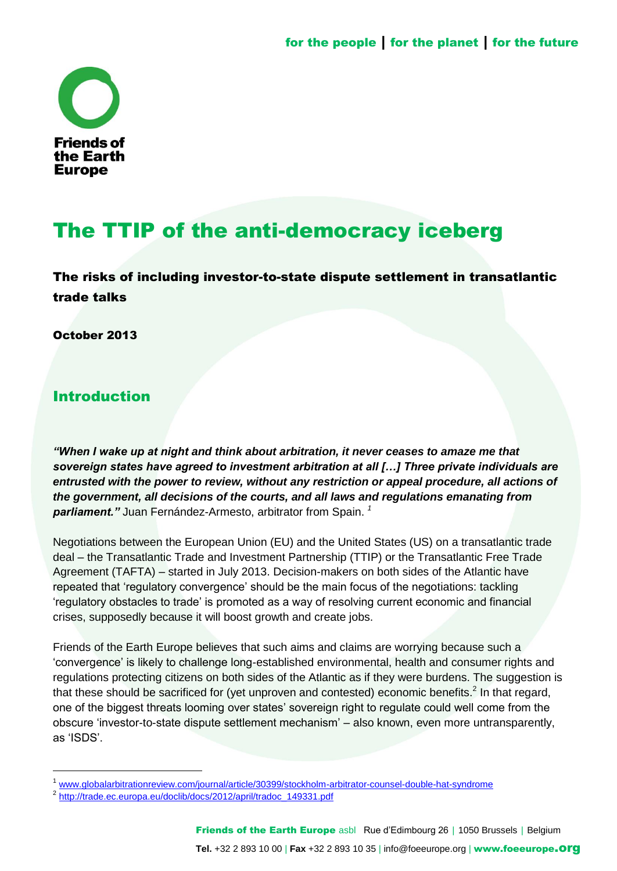

# The TTIP of the anti-democracy iceberg

The risks of including investor-to-state dispute settlement in transatlantic trade talks

October 2013

# Introduction

l

*"When I wake up at night and think about arbitration, it never ceases to amaze me that sovereign states have agreed to investment arbitration at all […] Three private individuals are entrusted with the power to review, without any restriction or appeal procedure, all actions of the government, all decisions of the courts, and all laws and regulations emanating from parliament."* Juan Fernández-Armesto, arbitrator from Spain. *<sup>1</sup>*

Negotiations between the European Union (EU) and the United States (US) on a transatlantic trade deal – the Transatlantic Trade and Investment Partnership (TTIP) or the Transatlantic Free Trade Agreement (TAFTA) – started in July 2013. Decision-makers on both sides of the Atlantic have repeated that 'regulatory convergence' should be the main focus of the negotiations: tackling ‗regulatory obstacles to trade' is promoted as a way of resolving current economic and financial crises, supposedly because it will boost growth and create jobs.

Friends of the Earth Europe believes that such aims and claims are worrying because such a ‗convergence' is likely to challenge long-established environmental, health and consumer rights and regulations protecting citizens on both sides of the Atlantic as if they were burdens. The suggestion is that these should be sacrificed for (yet unproven and contested) economic benefits.<sup>2</sup> In that regard, one of the biggest threats looming over states' sovereign right to regulate could well come from the obscure ‗investor-to-state dispute settlement mechanism' – also known, even more untransparently, as 'ISDS'.

<sup>1</sup> [www.globalarbitrationreview.com/journal/article/30399/stockholm-arbitrator-counsel-double-hat-syndrome](http://www.globalarbitrationreview.com/journal/article/30399/stockholm-arbitrator-counsel-double-hat-syndrome)

<sup>&</sup>lt;sup>2</sup> [http://trade.ec.europa.eu/doclib/docs/2012/april/tradoc\\_149331.pdf](http://trade.ec.europa.eu/doclib/docs/2012/april/tradoc_149331.pdf)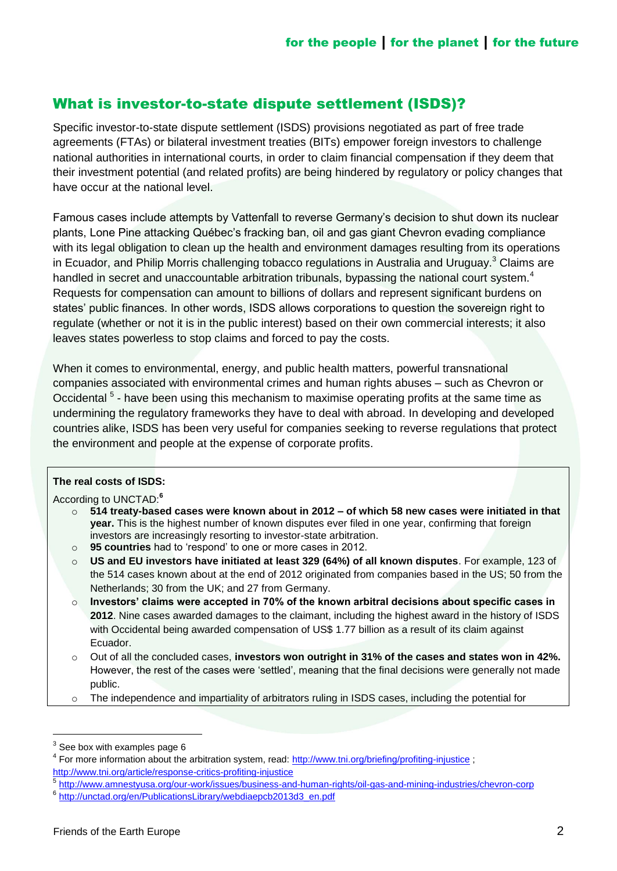# What is investor-to-state dispute settlement (ISDS)?

Specific investor-to-state dispute settlement (ISDS) provisions negotiated as part of free trade agreements (FTAs) or bilateral investment treaties (BITs) empower foreign investors to challenge national authorities in international courts, in order to claim financial compensation if they deem that their investment potential (and related profits) are being hindered by regulatory or policy changes that have occur at the national level.

Famous cases include attempts by Vattenfall to reverse Germany's decision to shut down its nuclear plants, Lone Pine attacking Québec's fracking ban, oil and gas giant Chevron evading compliance with its legal obligation to clean up the health and environment damages resulting from its operations in Ecuador, and Philip Morris challenging tobacco regulations in Australia and Uruguay.<sup>3</sup> Claims are handled in secret and unaccountable arbitration tribunals, bypassing the national court system.<sup>4</sup> Requests for compensation can amount to billions of dollars and represent significant burdens on states' public finances. In other words, ISDS allows corporations to question the sovereign right to regulate (whether or not it is in the public interest) based on their own commercial interests; it also leaves states powerless to stop claims and forced to pay the costs.

When it comes to environmental, energy, and public health matters, powerful transnational companies associated with environmental crimes and human rights abuses – such as Chevron or Occidental<sup>5</sup> - have been using this mechanism to maximise operating profits at the same time as undermining the regulatory frameworks they have to deal with abroad. In developing and developed countries alike, ISDS has been very useful for companies seeking to reverse regulations that protect the environment and people at the expense of corporate profits.

#### **The real costs of ISDS:**

According to UNCTAD:**<sup>6</sup>**

- o **514 treaty-based cases were known about in 2012 – of which 58 new cases were initiated in that year.** This is the highest number of known disputes ever filed in one year, confirming that foreign investors are increasingly resorting to investor-state arbitration.
- o **95 countries** had to 'respond' to one or more cases in 2012.
- o **US and EU investors have initiated at least 329 (64%) of all known disputes**. For example, 123 of the 514 cases known about at the end of 2012 originated from companies based in the US; 50 from the Netherlands; 30 from the UK; and 27 from Germany.
- o **Investors' claims were accepted in 70% of the known arbitral decisions about specific cases in 2012**. Nine cases awarded damages to the claimant, including the highest award in the history of ISDS with Occidental being awarded compensation of US\$ 1.77 billion as a result of its claim against Ecuador.
- o Out of all the concluded cases, **investors won outright in 31% of the cases and states won in 42%.**  However, the rest of the cases were 'settled', meaning that the final decisions were generally not made public.
- o The independence and impartiality of arbitrators ruling in ISDS cases, including the potential for

 $^3$  See box with examples page 6

<sup>&</sup>lt;sup>4</sup> For more information about the arbitration system, read:<http://www.tni.org/briefing/profiting-injustice> ; <http://www.tni.org/article/response-critics-profiting-injustice>

<sup>5</sup> <http://www.amnestyusa.org/our-work/issues/business-and-human-rights/oil-gas-and-mining-industries/chevron-corp>

<sup>&</sup>lt;sup>6</sup> [http://unctad.org/en/PublicationsLibrary/webdiaepcb2013d3\\_en.pdf](http://unctad.org/en/PublicationsLibrary/webdiaepcb2013d3_en.pdf)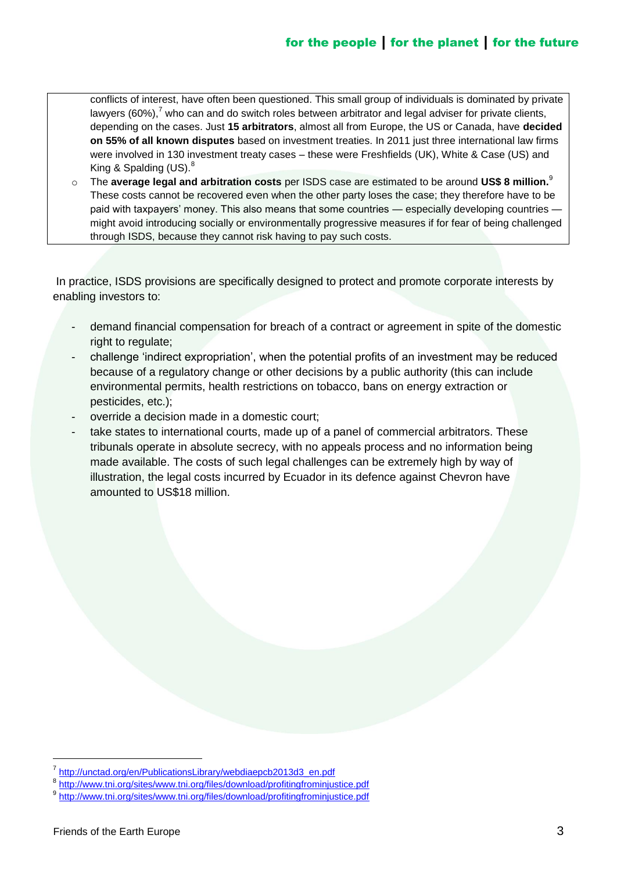conflicts of interest, have often been questioned. This small group of individuals is dominated by private lawyers  $(60\%)$ ,  $\sqrt{7}$  who can and do switch roles between arbitrator and legal adviser for private clients, depending on the cases. Just **15 arbitrators**, almost all from Europe, the US or Canada, have **decided on 55% of all known disputes** based on investment treaties. In 2011 just three international law firms were involved in 130 investment treaty cases – these were Freshfields (UK), White & Case (US) and King & Spalding  $(US)^8$ .

o The **average legal and arbitration costs** per ISDS case are estimated to be around **US\$ 8 million.**<sup>9</sup> These costs cannot be recovered even when the other party loses the case; they therefore have to be paid with taxpayers' money. This also means that some countries — especially developing countries might avoid introducing socially or environmentally progressive measures if for fear of being challenged through ISDS, because they cannot risk having to pay such costs.

In practice, ISDS provisions are specifically designed to protect and promote corporate interests by enabling investors to:

- demand financial compensation for breach of a contract or agreement in spite of the domestic right to regulate:
- challenge ‗indirect expropriation', when the potential profits of an investment may be reduced because of a regulatory change or other decisions by a public authority (this can include environmental permits, health restrictions on tobacco, bans on energy extraction or pesticides, etc.);
- override a decision made in a domestic court;
- take states to international courts, made up of a panel of commercial arbitrators. These tribunals operate in absolute secrecy, with no appeals process and no information being made available. The costs of such legal challenges can be extremely high by way of illustration, the legal costs incurred by Ecuador in its defence against Chevron have amounted to US\$18 million.

<sup>7</sup> [http://unctad.org/en/PublicationsLibrary/webdiaepcb2013d3\\_en.pdf](http://unctad.org/en/PublicationsLibrary/webdiaepcb2013d3_en.pdf)

<sup>&</sup>lt;sup>8</sup> <http://www.tni.org/sites/www.tni.org/files/download/profitingfrominjustice.pdf>

<sup>&</sup>lt;sup>9</sup> <http://www.tni.org/sites/www.tni.org/files/download/profitingfrominjustice.pdf>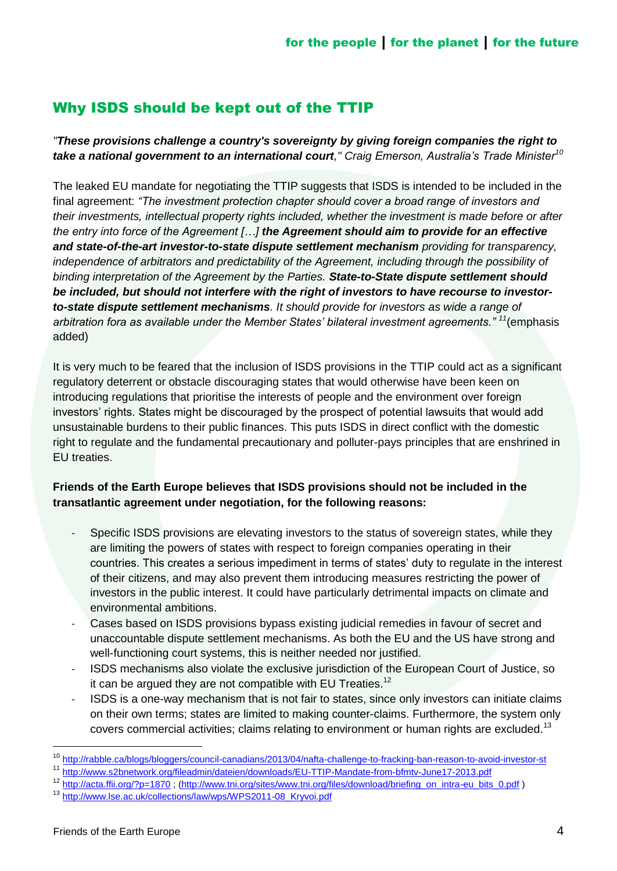# Why ISDS should be kept out of the TTIP

*"These provisions challenge a country's sovereignty by giving foreign companies the right to take a national government to an international court," Craig Emerson, Australia's Trade Minister<sup>10</sup>*

The leaked EU mandate for negotiating the TTIP suggests that ISDS is intended to be included in the final agreement: *"The investment protection chapter should cover a broad range of investors and their investments, intellectual property rights included, whether the investment is made before or after the entry into force of the Agreement […] the Agreement should aim to provide for an effective and state-of-the-art investor-to-state dispute settlement mechanism providing for transparency, independence of arbitrators and predictability of the Agreement, including through the possibility of binding interpretation of the Agreement by the Parties. State-to-State dispute settlement should be included, but should not interfere with the right of investors to have recourse to investorto-state dispute settlement mechanisms. It should provide for investors as wide a range of arbitration fora as available under the Member States' bilateral investment agreements." <sup>11</sup>*(emphasis added)

It is very much to be feared that the inclusion of ISDS provisions in the TTIP could act as a significant regulatory deterrent or obstacle discouraging states that would otherwise have been keen on introducing regulations that prioritise the interests of people and the environment over foreign investors' rights. States might be discouraged by the prospect of potential lawsuits that would add unsustainable burdens to their public finances. This puts ISDS in direct conflict with the domestic right to regulate and the fundamental precautionary and polluter-pays principles that are enshrined in EU treaties.

#### **Friends of the Earth Europe believes that ISDS provisions should not be included in the transatlantic agreement under negotiation, for the following reasons:**

- Specific ISDS provisions are elevating investors to the status of sovereign states, while they are limiting the powers of states with respect to foreign companies operating in their countries. This creates a serious impediment in terms of states' duty to regulate in the interest of their citizens, and may also prevent them introducing measures restricting the power of investors in the public interest. It could have particularly detrimental impacts on climate and environmental ambitions.
- Cases based on ISDS provisions bypass existing judicial remedies in favour of secret and unaccountable dispute settlement mechanisms. As both the EU and the US have strong and well-functioning court systems, this is neither needed nor justified.
- ISDS mechanisms also violate the exclusive jurisdiction of the European Court of Justice, so it can be argued they are not compatible with EU Treaties.<sup>12</sup>
- ISDS is a one-way mechanism that is not fair to states, since only investors can initiate claims on their own terms; states are limited to making counter-claims. Furthermore, the system only covers commercial activities; claims relating to environment or human rights are excluded.<sup>13</sup>

<sup>&</sup>lt;sup>10</sup> <http://rabble.ca/blogs/bloggers/council-canadians/2013/04/nafta-challenge-to-fracking-ban-reason-to-avoid-investor-st>

<sup>11</sup> <http://www.s2bnetwork.org/fileadmin/dateien/downloads/EU-TTIP-Mandate-from-bfmtv-June17-2013.pdf>

<sup>12</sup> <http://acta.ffii.org/?p=1870> ; [\(http://www.tni.org/sites/www.tni.org/files/download/briefing\\_on\\_intra-eu\\_bits\\_0.pdf](http://www.tni.org/sites/www.tni.org/files/download/briefing_on_intra-eu_bits_0.pdf) )

<sup>13</sup> [http://www.lse.ac.uk/collections/law/wps/WPS2011-08\\_Kryvoi.pdf](http://www.lse.ac.uk/collections/law/wps/WPS2011-08_Kryvoi.pdf)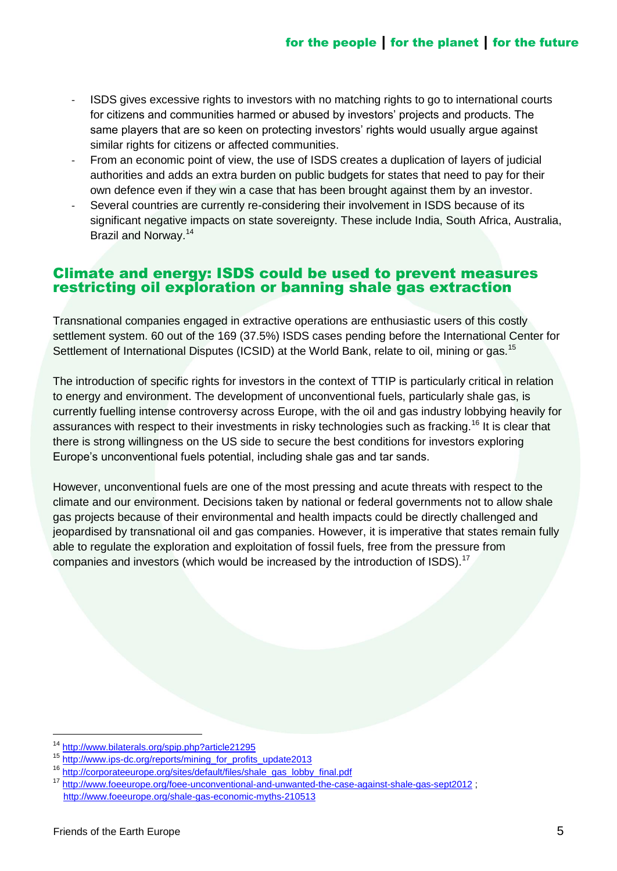- ISDS gives excessive rights to investors with no matching rights to go to international courts for citizens and communities harmed or abused by investors' projects and products. The same players that are so keen on protecting investors' rights would usually argue against similar rights for citizens or affected communities.
- From an economic point of view, the use of ISDS creates a duplication of layers of judicial authorities and adds an extra burden on public budgets for states that need to pay for their own defence even if they win a case that has been brought against them by an investor.
- Several countries are currently re-considering their involvement in ISDS because of its significant negative impacts on state sovereignty. These include India, South Africa, Australia, Brazil and Norway.<sup>14</sup>

#### Climate and energy: ISDS could be used to prevent measures restricting oil exploration or banning shale gas extraction

Transnational companies engaged in extractive operations are enthusiastic users of this costly settlement system. 60 out of the 169 (37.5%) ISDS cases pending before the International Center for Settlement of International Disputes (ICSID) at the World Bank, relate to oil, mining or gas.<sup>15</sup>

The introduction of specific rights for investors in the context of TTIP is particularly critical in relation to energy and environment. The development of unconventional fuels, particularly shale gas, is currently fuelling intense controversy across Europe, with the oil and gas industry lobbying heavily for assurances with respect to their investments in risky technologies such as fracking.<sup>16</sup> It is clear that there is strong willingness on the US side to secure the best conditions for investors exploring Europe's unconventional fuels potential, including shale gas and tar sands.

However, unconventional fuels are one of the most pressing and acute threats with respect to the climate and our environment. Decisions taken by national or federal governments not to allow shale gas projects because of their environmental and health impacts could be directly challenged and jeopardised by transnational oil and gas companies. However, it is imperative that states remain fully able to regulate the exploration and exploitation of fossil fuels, free from the pressure from companies and investors (which would be increased by the introduction of ISDS).<sup>17</sup>

<sup>14</sup> <http://www.bilaterals.org/spip.php?article21295>

<sup>&</sup>lt;sup>15</sup> [http://www.ips-dc.org/reports/mining\\_for\\_profits\\_update2013](http://www.ips-dc.org/reports/mining_for_profits_update2013)

<sup>16</sup> [http://corporateeurope.org/sites/default/files/shale\\_gas\\_lobby\\_final.pdf](http://corporateeurope.org/sites/default/files/shale_gas_lobby_final.pdf)<br>17 http://www.foeu.rope.org/foee-unconventional-and-unwanted-the-case

<sup>17</sup> <http://www.foeeurope.org/foee-unconventional-and-unwanted-the-case-against-shale-gas-sept2012> ; <http://www.foeeurope.org/shale-gas-economic-myths-210513>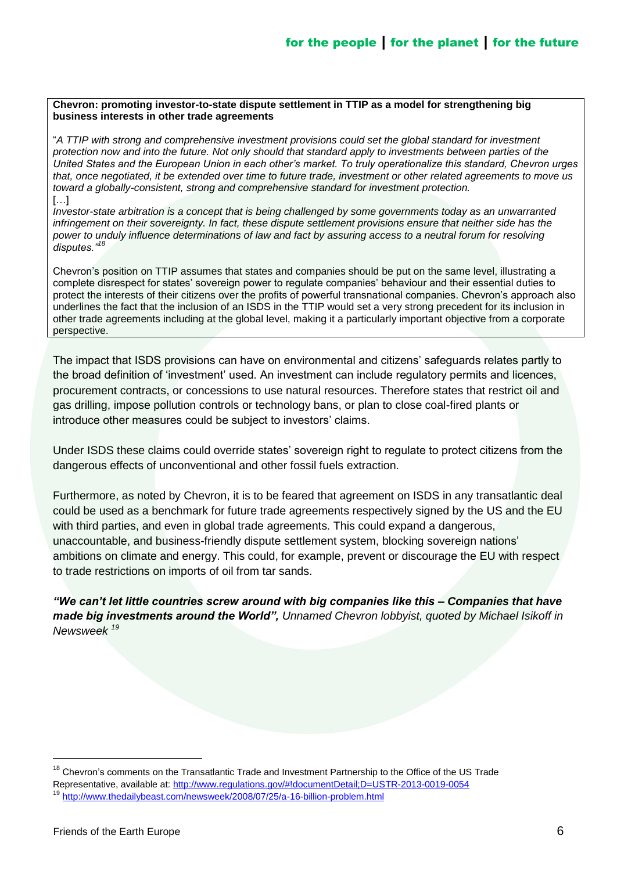#### **Chevron: promoting investor-to-state dispute settlement in TTIP as a model for strengthening big business interests in other trade agreements**

―*A TTIP with strong and comprehensive investment provisions could set the global standard for investment protection now and into the future. Not only should that standard apply to investments between parties of the United States and the European Union in each other's market. To truly operationalize this standard, Chevron urges that, once negotiated, it be extended over time to future trade, investment or other related agreements to move us toward a globally-consistent, strong and comprehensive standard for investment protection.*  $\left[\ldots\right]$ 

*Investor-state arbitration is a concept that is being challenged by some governments today as an unwarranted infringement on their sovereignty. In fact, these dispute settlement provisions ensure that neither side has the power to unduly influence determinations of law and fact by assuring access to a neutral forum for resolving disputes."<sup>18</sup>*

Chevron's position on TTIP assumes that states and companies should be put on the same level, illustrating a complete disrespect for states' sovereign power to regulate companies' behaviour and their essential duties to protect the interests of their citizens over the profits of powerful transnational companies. Chevron's approach also underlines the fact that the inclusion of an ISDS in the TTIP would set a very strong precedent for its inclusion in other trade agreements including at the global level, making it a particularly important objective from a corporate perspective.

The impact that ISDS provisions can have on environmental and citizens' safeguards relates partly to the broad definition of 'investment' used. An investment can include regulatory permits and licences, procurement contracts, or concessions to use natural resources. Therefore states that restrict oil and gas drilling, impose pollution controls or technology bans, or plan to close coal-fired plants or introduce other measures could be subject to investors' claims.

Under ISDS these claims could override states' sovereign right to regulate to protect citizens from the dangerous effects of unconventional and other fossil fuels extraction.

Furthermore, as noted by Chevron, it is to be feared that agreement on ISDS in any transatlantic deal could be used as a benchmark for future trade agreements respectively signed by the US and the EU with third parties, and even in global trade agreements. This could expand a dangerous, unaccountable, and business-friendly dispute settlement system, blocking sovereign nations' ambitions on climate and energy. This could, for example, prevent or discourage the EU with respect to trade restrictions on imports of oil from tar sands.

*"We can't let little countries screw around with big companies like this – Companies that have made big investments around the World", Unnamed Chevron lobbyist, quoted by Michael Isikoff in Newsweek <sup>19</sup>*

<sup>&</sup>lt;sup>18</sup> Chevron's comments on the Transatlantic Trade and Investment Partnership to the Office of the US Trade Representative, available at:<http://www.regulations.gov/#!documentDetail;D=USTR-2013-0019-0054>

<sup>19</sup> <http://www.thedailybeast.com/newsweek/2008/07/25/a-16-billion-problem.html>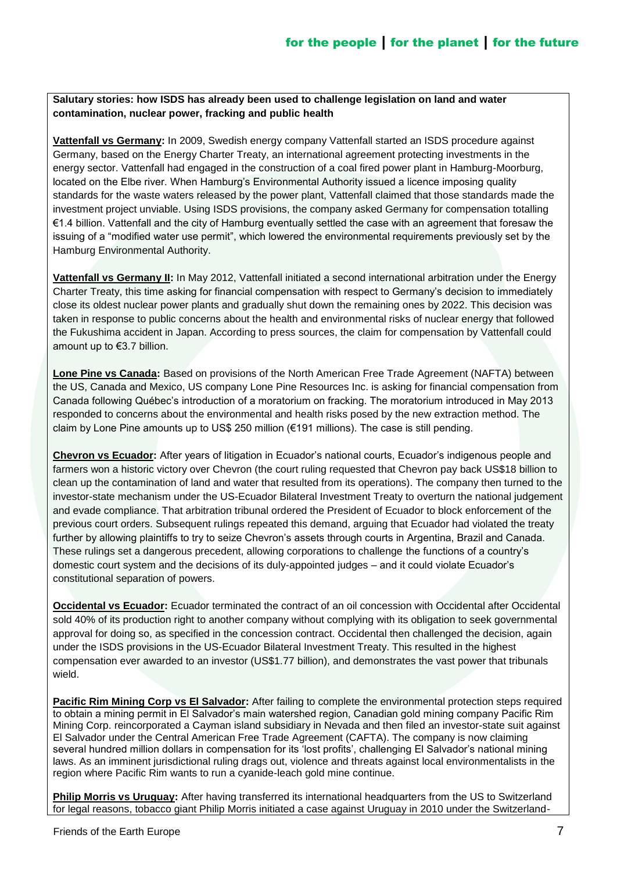**Salutary stories: how ISDS has already been used to challenge legislation on land and water contamination, nuclear power, fracking and public health**

**Vattenfall vs Germany:** In 2009, Swedish energy company Vattenfall started an ISDS procedure against Germany, based on the Energy Charter Treaty, an international agreement protecting investments in the energy sector. Vattenfall had engaged in the construction of a coal fired power plant in Hamburg-Moorburg, located on the Elbe river. When Hamburg's Environmental Authority issued a licence imposing quality standards for the waste waters released by the power plant, Vattenfall claimed that those standards made the investment project unviable. Using ISDS provisions, the company asked Germany for compensation totalling €1.4 billion. Vattenfall and the city of Hamburg eventually settled the case with an agreement that foresaw the issuing of a "modified water use permit", which lowered the environmental requirements previously set by the Hamburg Environmental Authority.

**Vattenfall vs Germany II:** In May 2012, Vattenfall initiated a second international arbitration under the Energy Charter Treaty, this time asking for financial compensation with respect to Germany's decision to immediately close its oldest nuclear power plants and gradually shut down the remaining ones by 2022. This decision was taken in response to public concerns about the health and environmental risks of nuclear energy that followed the Fukushima accident in Japan. According to press sources, the claim for compensation by Vattenfall could amount up to €3.7 billion.

**Lone Pine vs Canada:** Based on provisions of the North American Free Trade Agreement (NAFTA) between the US, Canada and Mexico, US company Lone Pine Resources Inc. is asking for financial compensation from Canada following Québec's introduction of a moratorium on fracking. The moratorium introduced in May 2013 responded to concerns about the environmental and health risks posed by the new extraction method. The claim by Lone Pine amounts up to US\$ 250 million (€191 millions). The case is still pending.

**Chevron vs Ecuador:** After years of litigation in Ecuador's national courts, Ecuador's indigenous people and farmers won a historic victory over Chevron (the court ruling requested that Chevron pay back US\$18 billion to clean up the contamination of land and water that resulted from its operations). The company then turned to the investor-state mechanism under the US-Ecuador Bilateral Investment Treaty to overturn the national judgement and evade compliance. That arbitration tribunal ordered the President of Ecuador to block enforcement of the previous court orders. Subsequent rulings repeated this demand, arguing that Ecuador had violated the treaty further by allowing plaintiffs to try to seize Chevron's assets through courts in Argentina, Brazil and Canada. These rulings set a dangerous precedent, allowing corporations to challenge the functions of a country's domestic court system and the decisions of its duly-appointed judges – and it could violate Ecuador's constitutional separation of powers.

**Occidental vs Ecuador:** Ecuador terminated the contract of an oil concession with Occidental after Occidental sold 40% of its production right to another company without complying with its obligation to seek governmental approval for doing so, as specified in the concession contract. Occidental then challenged the decision, again under the ISDS provisions in the US-Ecuador Bilateral Investment Treaty. This resulted in the highest compensation ever awarded to an investor (US\$1.77 billion), and demonstrates the vast power that tribunals wield.

**Pacific Rim Mining Corp vs El Salvador:** After failing to complete the environmental protection steps required to obtain a mining permit in El Salvador's main watershed region, Canadian gold mining company Pacific Rim Mining Corp. reincorporated a Cayman island subsidiary in Nevada and then filed an investor-state suit against El Salvador under the Central American Free Trade Agreement (CAFTA). The company is now claiming several hundred million dollars in compensation for its 'lost profits', challenging El Salvador's national mining laws. As an imminent jurisdictional ruling drags out, violence and threats against local environmentalists in the region where Pacific Rim wants to run a cyanide-leach gold mine continue.

**Philip Morris vs Uruguay:** After having transferred its international headquarters from the US to Switzerland for legal reasons, tobacco giant Philip Morris initiated a case against Uruguay in 2010 under the Switzerland-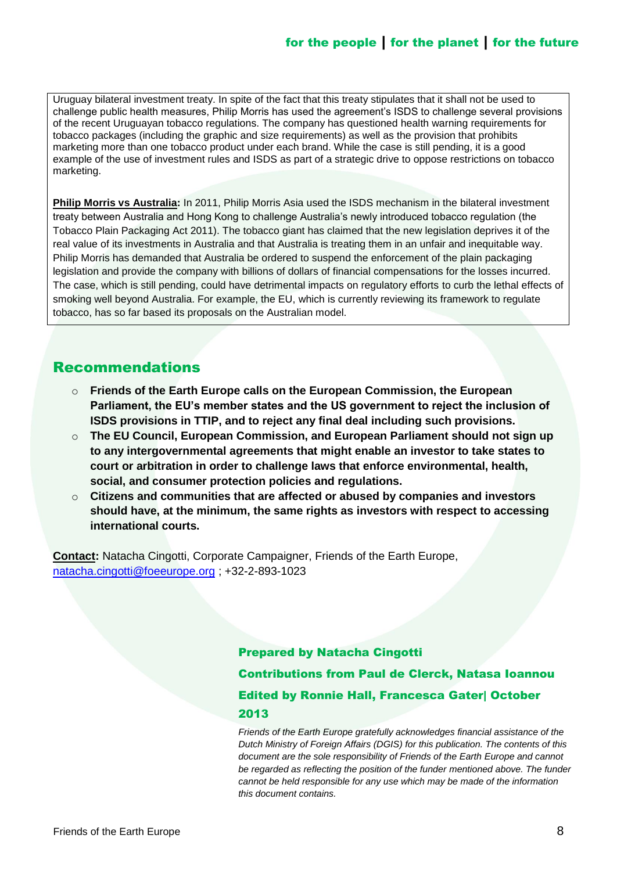Uruguay bilateral investment treaty. In spite of the fact that this treaty stipulates that it shall not be used to challenge public health measures, Philip Morris has used the agreement's ISDS to challenge several provisions of the recent Uruguayan tobacco regulations. The company has questioned health warning requirements for tobacco packages (including the graphic and size requirements) as well as the provision that prohibits marketing more than one tobacco product under each brand. While the case is still pending, it is a good example of the use of investment rules and ISDS as part of a strategic drive to oppose restrictions on tobacco marketing.

**Philip Morris vs Australia:** In 2011, Philip Morris Asia used the ISDS mechanism in the bilateral investment treaty between Australia and Hong Kong to challenge Australia's newly introduced tobacco regulation (the Tobacco Plain Packaging Act 2011). The tobacco giant has claimed that the new legislation deprives it of the real value of its investments in Australia and that Australia is treating them in an unfair and inequitable way. Philip Morris has demanded that Australia be ordered to suspend the enforcement of the plain packaging legislation and provide the company with billions of dollars of financial compensations for the losses incurred. The case, which is still pending, could have detrimental impacts on regulatory efforts to curb the lethal effects of smoking well beyond Australia. For example, the EU, which is currently reviewing its framework to regulate tobacco, has so far based its proposals on the Australian model.

## Recommendations

- o **Friends of the Earth Europe calls on the European Commission, the European Parliament, the EU's member states and the US government to reject the inclusion of ISDS provisions in TTIP, and to reject any final deal including such provisions.**
- o **The EU Council, European Commission, and European Parliament should not sign up to any intergovernmental agreements that might enable an investor to take states to court or arbitration in order to challenge laws that enforce environmental, health, social, and consumer protection policies and regulations.**
- o **Citizens and communities that are affected or abused by companies and investors should have, at the minimum, the same rights as investors with respect to accessing international courts.**

**Contact:** Natacha Cingotti, Corporate Campaigner, Friends of the Earth Europe, [natacha.cingotti@foeeurope.org](mailto:natacha.cingotti@foeeurope.org) ; +32-2-893-1023

#### Prepared by Natacha Cingotti

Contributions from Paul de Clerck, Natasa Ioannou Edited by Ronnie Hall, Francesca Gater| October 2013

*Friends of the Earth Europe gratefully acknowledges financial assistance of the Dutch Ministry of Foreign Affairs (DGIS) for this publication. The contents of this document are the sole responsibility of Friends of the Earth Europe and cannot be regarded as reflecting the position of the funder mentioned above. The funder cannot be held responsible for any use which may be made of the information this document contains.*